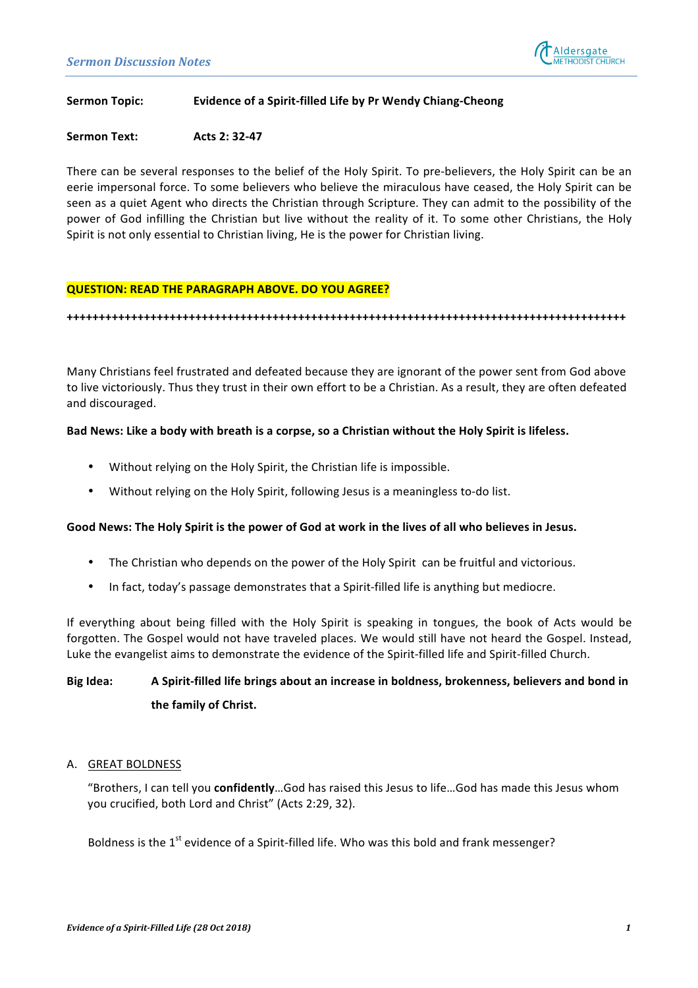

### **Sermon Topic: Evidence of a Spirit-filled Life by Pr Wendy Chiang-Cheong**

### **Sermon Text: Acts 2: 32-47**

There can be several responses to the belief of the Holy Spirit. To pre-believers, the Holy Spirit can be an eerie impersonal force. To some believers who believe the miraculous have ceased, the Holy Spirit can be seen as a quiet Agent who directs the Christian through Scripture. They can admit to the possibility of the power of God infilling the Christian but live without the reality of it. To some other Christians, the Holy Spirit is not only essential to Christian living, He is the power for Christian living.

### **QUESTION: READ THE PARAGRAPH ABOVE. DO YOU AGREE?**

**+++++++++++++++++++++++++++++++++++++++++++++++++++++++++++++++++++++++++++++++++++++++**

Many Christians feel frustrated and defeated because they are ignorant of the power sent from God above to live victoriously. Thus they trust in their own effort to be a Christian. As a result, they are often defeated and discouraged.

### Bad News: Like a body with breath is a corpse, so a Christian without the Holy Spirit is lifeless.

- Without relying on the Holy Spirit, the Christian life is impossible.
- Without relying on the Holy Spirit, following Jesus is a meaningless to-do list.

### Good News: The Holy Spirit is the power of God at work in the lives of all who believes in Jesus.

- The Christian who depends on the power of the Holy Spirit can be fruitful and victorious.
- In fact, today's passage demonstrates that a Spirit-filled life is anything but mediocre.

If everything about being filled with the Holy Spirit is speaking in tongues, the book of Acts would be forgotten. The Gospel would not have traveled places. We would still have not heard the Gospel. Instead, Luke the evangelist aims to demonstrate the evidence of the Spirit-filled life and Spirit-filled Church.

# **Big Idea:** A Spirit-filled life brings about an increase in boldness, brokenness, believers and bond in the family of Christ.

### A. GREAT BOLDNESS

"Brothers, I can tell you confidently...God has raised this Jesus to life...God has made this Jesus whom you crucified, both Lord and Christ" (Acts 2:29, 32).

Boldness is the  $1<sup>st</sup>$  evidence of a Spirit-filled life. Who was this bold and frank messenger?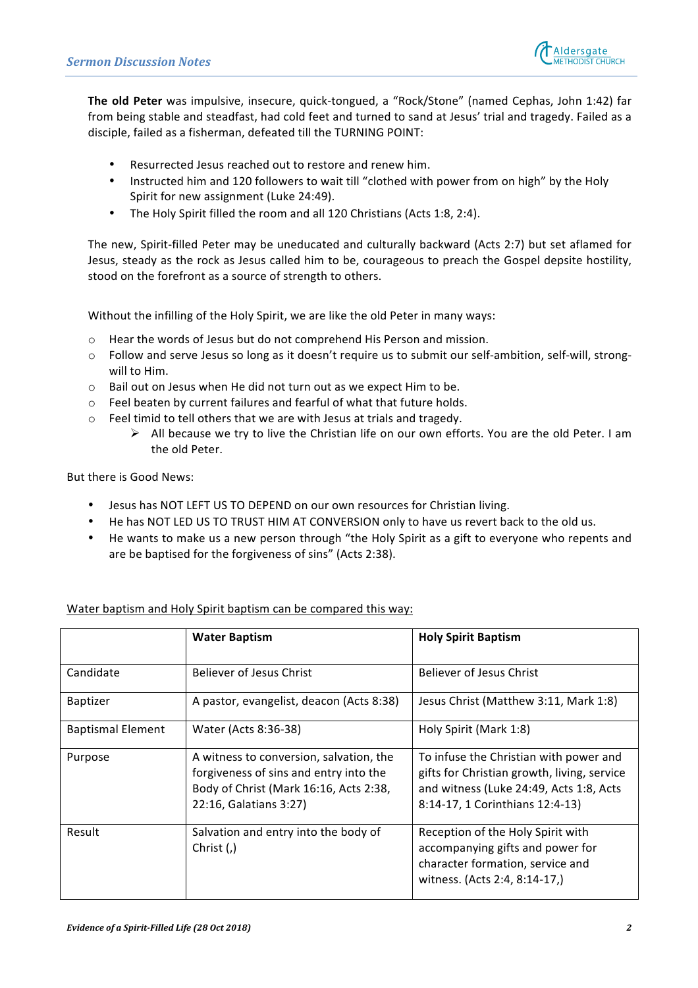

The old Peter was impulsive, insecure, quick-tongued, a "Rock/Stone" (named Cephas, John 1:42) far from being stable and steadfast, had cold feet and turned to sand at Jesus' trial and tragedy. Failed as a disciple, failed as a fisherman, defeated till the TURNING POINT:

- Resurrected Jesus reached out to restore and renew him.
- Instructed him and 120 followers to wait till "clothed with power from on high" by the Holy Spirit for new assignment (Luke 24:49).
- The Holy Spirit filled the room and all 120 Christians (Acts 1:8, 2:4).

The new, Spirit-filled Peter may be uneducated and culturally backward (Acts 2:7) but set aflamed for Jesus, steady as the rock as Jesus called him to be, courageous to preach the Gospel depsite hostility, stood on the forefront as a source of strength to others.

Without the infilling of the Holy Spirit, we are like the old Peter in many ways:

- $\circ$  Hear the words of Jesus but do not comprehend His Person and mission.
- $\circ$  Follow and serve Jesus so long as it doesn't require us to submit our self-ambition, self-will, strongwill to Him.
- $\circ$  Bail out on Jesus when He did not turn out as we expect Him to be.
- $\circ$  Feel beaten by current failures and fearful of what that future holds.
- $\circ$  Feel timid to tell others that we are with Jesus at trials and tragedy.
	- $\triangleright$  All because we try to live the Christian life on our own efforts. You are the old Peter. I am the old Peter

But there is Good News:

- Jesus has NOT LEFT US TO DEPEND on our own resources for Christian living.
- He has NOT LED US TO TRUST HIM AT CONVERSION only to have us revert back to the old us.
- He wants to make us a new person through "the Holy Spirit as a gift to everyone who repents and are be baptised for the forgiveness of sins" (Acts 2:38).

|                          | <b>Water Baptism</b>                                                                                                                                  | <b>Holy Spirit Baptism</b>                                                                                                                                          |
|--------------------------|-------------------------------------------------------------------------------------------------------------------------------------------------------|---------------------------------------------------------------------------------------------------------------------------------------------------------------------|
| Candidate                | Believer of Jesus Christ                                                                                                                              | Believer of Jesus Christ                                                                                                                                            |
| <b>Baptizer</b>          | A pastor, evangelist, deacon (Acts 8:38)                                                                                                              | Jesus Christ (Matthew 3:11, Mark 1:8)                                                                                                                               |
| <b>Baptismal Element</b> | Water (Acts 8:36-38)                                                                                                                                  | Holy Spirit (Mark 1:8)                                                                                                                                              |
| Purpose                  | A witness to conversion, salvation, the<br>forgiveness of sins and entry into the<br>Body of Christ (Mark 16:16, Acts 2:38,<br>22:16, Galatians 3:27) | To infuse the Christian with power and<br>gifts for Christian growth, living, service<br>and witness (Luke 24:49, Acts 1:8, Acts<br>8:14-17, 1 Corinthians 12:4-13) |
| Result                   | Salvation and entry into the body of<br>Christ $($ , $)$                                                                                              | Reception of the Holy Spirit with<br>accompanying gifts and power for<br>character formation, service and<br>witness. (Acts 2:4, 8:14-17,)                          |

# Water baptism and Holy Spirit baptism can be compared this way: